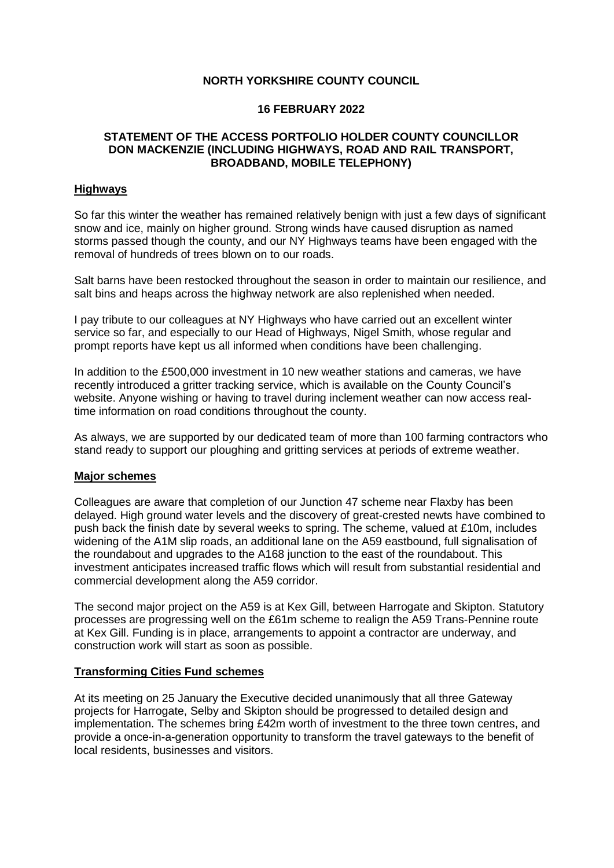# **NORTH YORKSHIRE COUNTY COUNCIL**

### **16 FEBRUARY 2022**

# **STATEMENT OF THE ACCESS PORTFOLIO HOLDER COUNTY COUNCILLOR DON MACKENZIE (INCLUDING HIGHWAYS, ROAD AND RAIL TRANSPORT, BROADBAND, MOBILE TELEPHONY)**

### **Highways**

So far this winter the weather has remained relatively benign with just a few days of significant snow and ice, mainly on higher ground. Strong winds have caused disruption as named storms passed though the county, and our NY Highways teams have been engaged with the removal of hundreds of trees blown on to our roads.

Salt barns have been restocked throughout the season in order to maintain our resilience, and salt bins and heaps across the highway network are also replenished when needed.

I pay tribute to our colleagues at NY Highways who have carried out an excellent winter service so far, and especially to our Head of Highways, Nigel Smith, whose regular and prompt reports have kept us all informed when conditions have been challenging.

In addition to the £500,000 investment in 10 new weather stations and cameras, we have recently introduced a gritter tracking service, which is available on the County Council's website. Anyone wishing or having to travel during inclement weather can now access realtime information on road conditions throughout the county.

As always, we are supported by our dedicated team of more than 100 farming contractors who stand ready to support our ploughing and gritting services at periods of extreme weather.

#### **Major schemes**

Colleagues are aware that completion of our Junction 47 scheme near Flaxby has been delayed. High ground water levels and the discovery of great-crested newts have combined to push back the finish date by several weeks to spring. The scheme, valued at £10m, includes widening of the A1M slip roads, an additional lane on the A59 eastbound, full signalisation of the roundabout and upgrades to the A168 junction to the east of the roundabout. This investment anticipates increased traffic flows which will result from substantial residential and commercial development along the A59 corridor.

The second major project on the A59 is at Kex Gill, between Harrogate and Skipton. Statutory processes are progressing well on the £61m scheme to realign the A59 Trans-Pennine route at Kex Gill. Funding is in place, arrangements to appoint a contractor are underway, and construction work will start as soon as possible.

# **Transforming Cities Fund schemes**

At its meeting on 25 January the Executive decided unanimously that all three Gateway projects for Harrogate, Selby and Skipton should be progressed to detailed design and implementation. The schemes bring £42m worth of investment to the three town centres, and provide a once-in-a-generation opportunity to transform the travel gateways to the benefit of local residents, businesses and visitors.